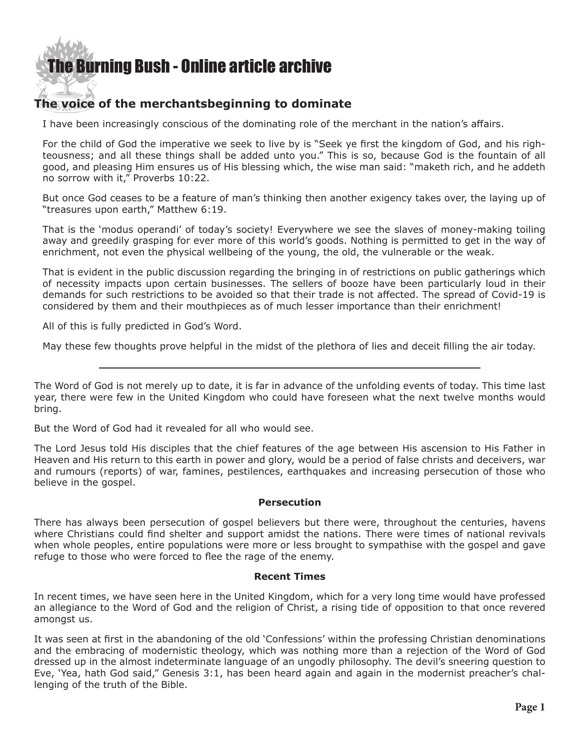## [The Burning Bush - Online article archive](http://www.ivanfoster.net)

### **The voice of the merchantsbeginning to dominate**

I have been increasingly conscious of the dominating role of the merchant in the nation's affairs.

For the child of God the imperative we seek to live by is "Seek ye first the kingdom of God, and his righteousness; and all these things shall be added unto you." This is so, because God is the fountain of all good, and pleasing Him ensures us of His blessing which, the wise man said: "maketh rich, and he addeth no sorrow with it," Proverbs 10:22.

But once God ceases to be a feature of man's thinking then another exigency takes over, the laying up of "treasures upon earth," Matthew 6:19.

That is the 'modus operandi' of today's society! Everywhere we see the slaves of money-making toiling away and greedily grasping for ever more of this world's goods. Nothing is permitted to get in the way of enrichment, not even the physical wellbeing of the young, the old, the vulnerable or the weak.

That is evident in the public discussion regarding the bringing in of restrictions on public gatherings which of necessity impacts upon certain businesses. The sellers of booze have been particularly loud in their demands for such restrictions to be avoided so that their trade is not affected. The spread of Covid-19 is considered by them and their mouthpieces as of much lesser importance than their enrichment!

All of this is fully predicted in God's Word.

May these few thoughts prove helpful in the midst of the plethora of lies and deceit filling the air today.

The Word of God is not merely up to date, it is far in advance of the unfolding events of today. This time last year, there were few in the United Kingdom who could have foreseen what the next twelve months would bring.

But the Word of God had it revealed for all who would see.

The Lord Jesus told His disciples that the chief features of the age between His ascension to His Father in Heaven and His return to this earth in power and glory, would be a period of false christs and deceivers, war and rumours (reports) of war, famines, pestilences, earthquakes and increasing persecution of those who believe in the gospel.

#### **Persecution**

There has always been persecution of gospel believers but there were, throughout the centuries, havens where Christians could find shelter and support amidst the nations. There were times of national revivals when whole peoples, entire populations were more or less brought to sympathise with the gospel and gave refuge to those who were forced to flee the rage of the enemy.

#### **Recent Times**

In recent times, we have seen here in the United Kingdom, which for a very long time would have professed an allegiance to the Word of God and the religion of Christ, a rising tide of opposition to that once revered amongst us.

It was seen at first in the abandoning of the old 'Confessions' within the professing Christian denominations and the embracing of modernistic theology, which was nothing more than a rejection of the Word of God dressed up in the almost indeterminate language of an ungodly philosophy. The devil's sneering question to Eve, 'Yea, hath God said," Genesis 3:1, has been heard again and again in the modernist preacher's challenging of the truth of the Bible.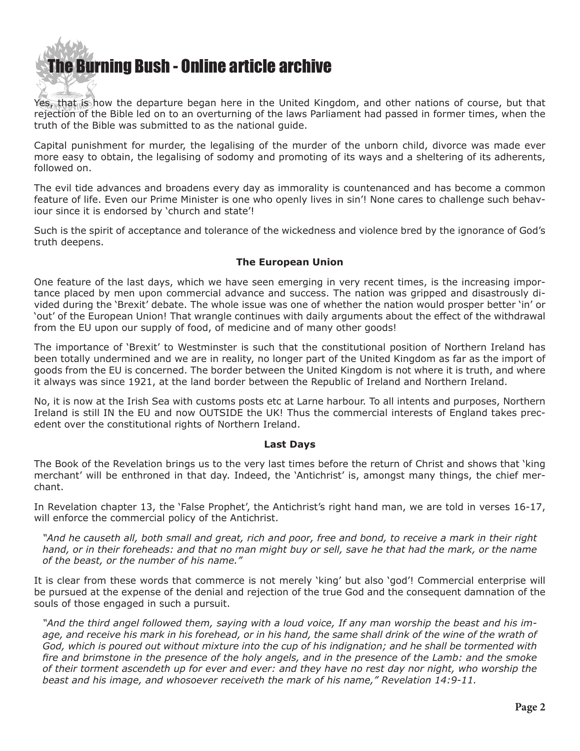[The Burning Bush - Online article archive](http://www.ivanfoster.net)

Yes, that is how the departure began here in the United Kingdom, and other nations of course, but that rejection of the Bible led on to an overturning of the laws Parliament had passed in former times, when the truth of the Bible was submitted to as the national guide.

Capital punishment for murder, the legalising of the murder of the unborn child, divorce was made ever more easy to obtain, the legalising of sodomy and promoting of its ways and a sheltering of its adherents, followed on.

The evil tide advances and broadens every day as immorality is countenanced and has become a common feature of life. Even our Prime Minister is one who openly lives in sin'! None cares to challenge such behaviour since it is endorsed by 'church and state'!

Such is the spirit of acceptance and tolerance of the wickedness and violence bred by the ignorance of God's truth deepens.

#### **The European Union**

One feature of the last days, which we have seen emerging in very recent times, is the increasing importance placed by men upon commercial advance and success. The nation was gripped and disastrously divided during the 'Brexit' debate. The whole issue was one of whether the nation would prosper better 'in' or 'out' of the European Union! That wrangle continues with daily arguments about the effect of the withdrawal from the EU upon our supply of food, of medicine and of many other goods!

The importance of 'Brexit' to Westminster is such that the constitutional position of Northern Ireland has been totally undermined and we are in reality, no longer part of the United Kingdom as far as the import of goods from the EU is concerned. The border between the United Kingdom is not where it is truth, and where it always was since 1921, at the land border between the Republic of Ireland and Northern Ireland.

No, it is now at the Irish Sea with customs posts etc at Larne harbour. To all intents and purposes, Northern Ireland is still IN the EU and now OUTSIDE the UK! Thus the commercial interests of England takes precedent over the constitutional rights of Northern Ireland.

#### **Last Days**

The Book of the Revelation brings us to the very last times before the return of Christ and shows that 'king merchant' will be enthroned in that day. Indeed, the 'Antichrist' is, amongst many things, the chief merchant.

In Revelation chapter 13, the 'False Prophet', the Antichrist's right hand man, we are told in verses 16-17, will enforce the commercial policy of the Antichrist.

*"And he causeth all, both small and great, rich and poor, free and bond, to receive a mark in their right hand, or in their foreheads: and that no man might buy or sell, save he that had the mark, or the name of the beast, or the number of his name."*

It is clear from these words that commerce is not merely 'king' but also 'god'! Commercial enterprise will be pursued at the expense of the denial and rejection of the true God and the consequent damnation of the souls of those engaged in such a pursuit.

*"And the third angel followed them, saying with a loud voice, If any man worship the beast and his image, and receive his mark in his forehead, or in his hand, the same shall drink of the wine of the wrath of God, which is poured out without mixture into the cup of his indignation; and he shall be tormented with fire and brimstone in the presence of the holy angels, and in the presence of the Lamb: and the smoke of their torment ascendeth up for ever and ever: and they have no rest day nor night, who worship the beast and his image, and whosoever receiveth the mark of his name," Revelation 14:9-11.*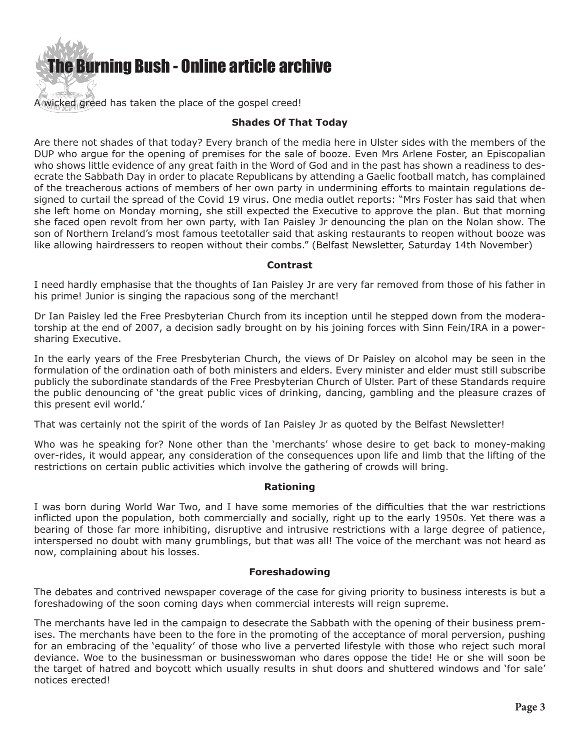

A wicked greed has taken the place of the gospel creed!

#### **Shades Of That Today**

Are there not shades of that today? Every branch of the media here in Ulster sides with the members of the DUP who argue for the opening of premises for the sale of booze. Even Mrs Arlene Foster, an Episcopalian who shows little evidence of any great faith in the Word of God and in the past has shown a readiness to desecrate the Sabbath Day in order to placate Republicans by attending a Gaelic football match, has complained of the treacherous actions of members of her own party in undermining efforts to maintain regulations designed to curtail the spread of the Covid 19 virus. One media outlet reports: "Mrs Foster has said that when she left home on Monday morning, she still expected the Executive to approve the plan. But that morning she faced open revolt from her own party, with Ian Paisley Jr denouncing the plan on the Nolan show. The son of Northern Ireland's most famous teetotaller said that asking restaurants to reopen without booze was like allowing hairdressers to reopen without their combs." (Belfast Newsletter, Saturday 14th November)

#### **Contrast**

I need hardly emphasise that the thoughts of Ian Paisley Jr are very far removed from those of his father in his prime! Junior is singing the rapacious song of the merchant!

Dr Ian Paisley led the Free Presbyterian Church from its inception until he stepped down from the moderatorship at the end of 2007, a decision sadly brought on by his joining forces with Sinn Fein/IRA in a powersharing Executive.

In the early years of the Free Presbyterian Church, the views of Dr Paisley on alcohol may be seen in the formulation of the ordination oath of both ministers and elders. Every minister and elder must still subscribe publicly the subordinate standards of the Free Presbyterian Church of Ulster. Part of these Standards require the public denouncing of 'the great public vices of drinking, dancing, gambling and the pleasure crazes of this present evil world.'

That was certainly not the spirit of the words of Ian Paisley Jr as quoted by the Belfast Newsletter!

Who was he speaking for? None other than the 'merchants' whose desire to get back to money-making over-rides, it would appear, any consideration of the consequences upon life and limb that the lifting of the restrictions on certain public activities which involve the gathering of crowds will bring.

#### **Rationing**

I was born during World War Two, and I have some memories of the difficulties that the war restrictions inflicted upon the population, both commercially and socially, right up to the early 1950s. Yet there was a bearing of those far more inhibiting, disruptive and intrusive restrictions with a large degree of patience, interspersed no doubt with many grumblings, but that was all! The voice of the merchant was not heard as now, complaining about his losses.

#### **Foreshadowing**

The debates and contrived newspaper coverage of the case for giving priority to business interests is but a foreshadowing of the soon coming days when commercial interests will reign supreme.

The merchants have led in the campaign to desecrate the Sabbath with the opening of their business premises. The merchants have been to the fore in the promoting of the acceptance of moral perversion, pushing for an embracing of the 'equality' of those who live a perverted lifestyle with those who reject such moral deviance. Woe to the businessman or businesswoman who dares oppose the tide! He or she will soon be the target of hatred and boycott which usually results in shut doors and shuttered windows and 'for sale' notices erected!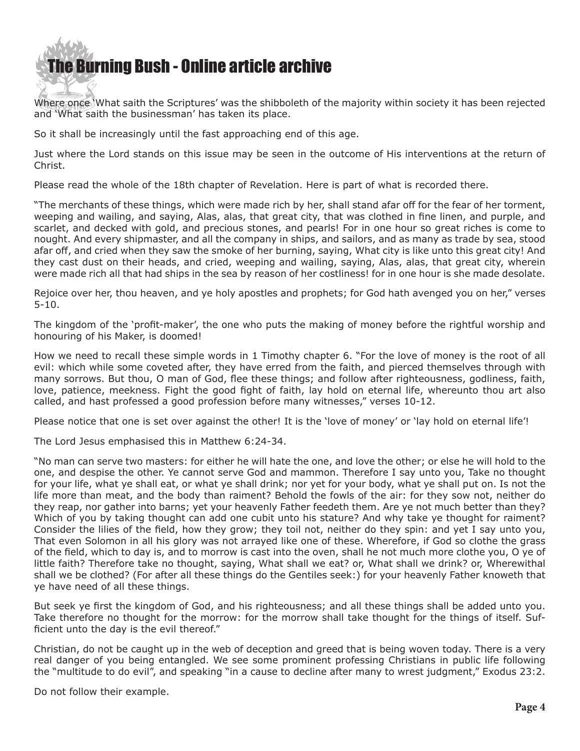# **he Burning Bush - Online article archive**

Where once 'What saith the Scriptures' was the shibboleth of the majority within society it has been rejected and 'What saith the businessman' has taken its place.

So it shall be increasingly until the fast approaching end of this age.

Just where the Lord stands on this issue may be seen in the outcome of His interventions at the return of Christ.

Please read the whole of the 18th chapter of Revelation. Here is part of what is recorded there.

"The merchants of these things, which were made rich by her, shall stand afar off for the fear of her torment, weeping and wailing, and saying, Alas, alas, that great city, that was clothed in fine linen, and purple, and scarlet, and decked with gold, and precious stones, and pearls! For in one hour so great riches is come to nought. And every shipmaster, and all the company in ships, and sailors, and as many as trade by sea, stood afar off, and cried when they saw the smoke of her burning, saying, What city is like unto this great city! And they cast dust on their heads, and cried, weeping and wailing, saying, Alas, alas, that great city, wherein were made rich all that had ships in the sea by reason of her costliness! for in one hour is she made desolate.

Rejoice over her, thou heaven, and ye holy apostles and prophets; for God hath avenged you on her," verses 5-10.

The kingdom of the 'profit-maker', the one who puts the making of money before the rightful worship and honouring of his Maker, is doomed!

How we need to recall these simple words in 1 Timothy chapter 6. "For the love of money is the root of all evil: which while some coveted after, they have erred from the faith, and pierced themselves through with many sorrows. But thou, O man of God, flee these things; and follow after righteousness, godliness, faith, love, patience, meekness. Fight the good fight of faith, lay hold on eternal life, whereunto thou art also called, and hast professed a good profession before many witnesses," verses 10-12.

Please notice that one is set over against the other! It is the 'love of money' or 'lay hold on eternal life'!

The Lord Jesus emphasised this in Matthew 6:24-34.

"No man can serve two masters: for either he will hate the one, and love the other; or else he will hold to the one, and despise the other. Ye cannot serve God and mammon. Therefore I say unto you, Take no thought for your life, what ye shall eat, or what ye shall drink; nor yet for your body, what ye shall put on. Is not the life more than meat, and the body than raiment? Behold the fowls of the air: for they sow not, neither do they reap, nor gather into barns; yet your heavenly Father feedeth them. Are ye not much better than they? Which of you by taking thought can add one cubit unto his stature? And why take ye thought for raiment? Consider the lilies of the field, how they grow; they toil not, neither do they spin: and yet I say unto you, That even Solomon in all his glory was not arrayed like one of these. Wherefore, if God so clothe the grass of the field, which to day is, and to morrow is cast into the oven, shall he not much more clothe you, O ye of little faith? Therefore take no thought, saying, What shall we eat? or, What shall we drink? or, Wherewithal shall we be clothed? (For after all these things do the Gentiles seek:) for your heavenly Father knoweth that ye have need of all these things.

But seek ye first the kingdom of God, and his righteousness; and all these things shall be added unto you. Take therefore no thought for the morrow: for the morrow shall take thought for the things of itself. Sufficient unto the day is the evil thereof."

Christian, do not be caught up in the web of deception and greed that is being woven today. There is a very real danger of you being entangled. We see some prominent professing Christians in public life following the "multitude to do evil", and speaking "in a cause to decline after many to wrest judgment," Exodus 23:2.

Do not follow their example.